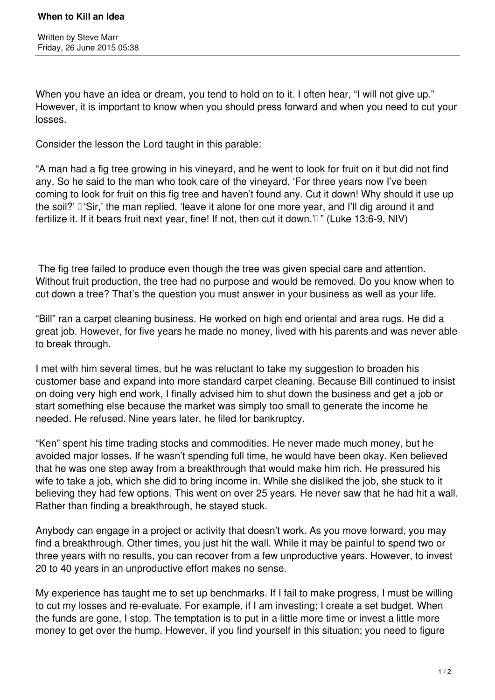When you have an idea or dream, you tend to hold on to it. I often hear, "I will not give up." However, it is important to know when you should press forward and when you need to cut your losses.

Consider the lesson the Lord taught in this parable:

"A man had a fig tree growing in his vineyard, and he went to look for fruit on it but did not find any. So he said to the man who took care of the vineyard, 'For three years now I've been coming to look for fruit on this fig tree and haven't found any. Cut it down! Why should it use up the soil?'  'Sir,' the man replied, 'leave it alone for one more year, and I'll dig around it and fertilize it. If it bears fruit next year, fine! If not, then cut it down.'<sup>[]</sup>" (Luke 13:6-9, NIV)

 The fig tree failed to produce even though the tree was given special care and attention. Without fruit production, the tree had no purpose and would be removed. Do you know when to cut down a tree? That's the question you must answer in your business as well as your life.

"Bill" ran a carpet cleaning business. He worked on high end oriental and area rugs. He did a great job. However, for five years he made no money, lived with his parents and was never able to break through.

I met with him several times, but he was reluctant to take my suggestion to broaden his customer base and expand into more standard carpet cleaning. Because Bill continued to insist on doing very high end work, I finally advised him to shut down the business and get a job or start something else because the market was simply too small to generate the income he needed. He refused. Nine years later, he filed for bankruptcy.

"Ken" spent his time trading stocks and commodities. He never made much money, but he avoided major losses. If he wasn't spending full time, he would have been okay. Ken believed that he was one step away from a breakthrough that would make him rich. He pressured his wife to take a job, which she did to bring income in. While she disliked the job, she stuck to it believing they had few options. This went on over 25 years. He never saw that he had hit a wall. Rather than finding a breakthrough, he stayed stuck.

Anybody can engage in a project or activity that doesn't work. As you move forward, you may find a breakthrough. Other times, you just hit the wall. While it may be painful to spend two or three years with no results, you can recover from a few unproductive years. However, to invest 20 to 40 years in an unproductive effort makes no sense.

My experience has taught me to set up benchmarks. If I fail to make progress, I must be willing to cut my losses and re-evaluate. For example, if I am investing; I create a set budget. When the funds are gone, I stop. The temptation is to put in a little more time or invest a little more money to get over the hump. However, if you find yourself in this situation; you need to figure